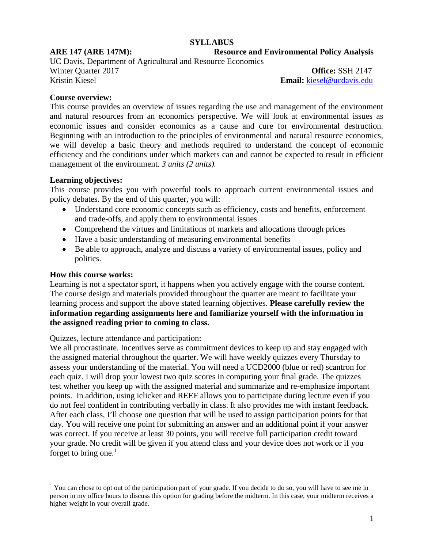#### **SYLLABUS**

**ARE 147 (ARE 147M): Resource and Environmental Policy Analysis**

UC Davis, Department of Agricultural and Resource Economics Winter Quarter 2017<br> **Contract Contract Contract Contract Contract Contract Contract Contract Contract Contract Contract Contract Contract Contract Contract Contract Contract Contract Contract Contract Contract Contract Co** 

Kristin Kiesel **Email:** [kiesel@ucdavis.edu](mailto:kiesel@ucdavis.edu)

### **Course overview:**

This course provides an overview of issues regarding the use and management of the environment and natural resources from an economics perspective. We will look at environmental issues as economic issues and consider economics as a cause and cure for environmental destruction. Beginning with an introduction to the principles of environmental and natural resource economics, we will develop a basic theory and methods required to understand the concept of economic efficiency and the conditions under which markets can and cannot be expected to result in efficient management of the environment. 3 *units* (2 *units*).

### **Learning objectives:**

This course provides you with powerful tools to approach current environmental issues and policy debates. By the end of this quarter, you will:

- Understand core economic concepts such as efficiency, costs and benefits, enforcement and trade-offs, and apply them to environmental issues
- Comprehend the virtues and limitations of markets and allocations through prices
- Have a basic understanding of measuring environmental benefits
- Be able to approach, analyze and discuss a variety of environmental issues, policy and politics.

#### **How this course works:**

Learning is not a spectator sport, it happens when you actively engage with the course content. The course design and materials provided throughout the quarter are meant to facilitate your learning process and support the above stated learning objectives. **Please carefully review the information regarding assignments here and familiarize yourself with the information in the assigned reading prior to coming to class.**

# Quizzes, lecture attendance and participation:

We all procrastinate. Incentives serve as commitment devices to keep up and stay engaged with the assigned material throughout the quarter. We will have weekly quizzes every Thursday to assess your understanding of the material. You will need a UCD2000 (blue or red) scantron for each quiz. I will drop your lowest two quiz scores in computing your final grade. The quizzes test whether you keep up with the assigned material and summarize and re-emphasize important points. In addition, using iclicker and REEF allows you to participate during lecture even if you do not feel confident in contributing verbally in class. It also provides me with instant feedback. After each class, I'll choose one question that will be used to assign participation points for that day. You will receive one point for submitting an answer and an additional point if your answer was correct. If you receive at least 30 points, you will receive full participation credit toward your grade. No credit will be given if you attend class and your device does not work or if you forget to bring one. $<sup>1</sup>$  $<sup>1</sup>$  $<sup>1</sup>$ </sup>

<span id="page-0-0"></span><sup>&</sup>lt;sup>1</sup> You can chose to opt out of the participation part of your grade. If you decide to do so, you will have to see me in person in my office hours to discuss this option for grading before the midterm. In this case, your midterm receives a higher weight in your overall grade.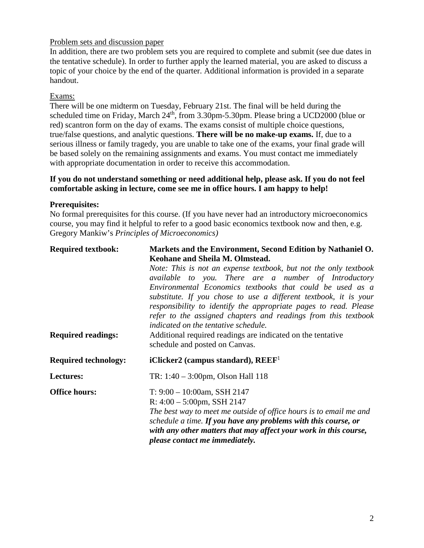# Problem sets and discussion paper

In addition, there are two problem sets you are required to complete and submit (see due dates in the tentative schedule). In order to further apply the learned material, you are asked to discuss a topic of your choice by the end of the quarter. Additional information is provided in a separate handout.

# Exams:

There will be one midterm on Tuesday, February 21st. The final will be held during the scheduled time on Friday, March 24<sup>th</sup>, from 3.30pm-5.30pm. Please bring a UCD2000 (blue or red) scantron form on the day of exams. The exams consist of multiple choice questions, true/false questions, and analytic questions. **There will be no make-up exams.** If, due to a serious illness or family tragedy, you are unable to take one of the exams, your final grade will be based solely on the remaining assignments and exams. You must contact me immediately with appropriate documentation in order to receive this accommodation.

## **If you do not understand something or need additional help, please ask. If you do not feel comfortable asking in lecture, come see me in office hours. I am happy to help!**

### **Prerequisites:**

No formal prerequisites for this course. (If you have never had an introductory microeconomics course, you may find it helpful to refer to a good basic economics textbook now and then, e.g. Gregory Mankiw's *Principles of Microeconomics)*

| <b>Required textbook:</b>   | Markets and the Environment, Second Edition by Nathaniel O.<br>Keohane and Sheila M. Olmstead.                                                                                                                                                                                                                                                                                                                                                                                                                                           |  |
|-----------------------------|------------------------------------------------------------------------------------------------------------------------------------------------------------------------------------------------------------------------------------------------------------------------------------------------------------------------------------------------------------------------------------------------------------------------------------------------------------------------------------------------------------------------------------------|--|
| <b>Required readings:</b>   | Note: This is not an expense textbook, but not the only textbook<br>available to you. There are a number of Introductory<br>Environmental Economics textbooks that could be used as a<br>substitute. If you chose to use a different textbook, it is your<br>responsibility to identify the appropriate pages to read. Please<br>refer to the assigned chapters and readings from this textbook<br>indicated on the tentative schedule.<br>Additional required readings are indicated on the tentative<br>schedule and posted on Canvas. |  |
| <b>Required technology:</b> | iClicker2 (campus standard), $REEF1$                                                                                                                                                                                                                                                                                                                                                                                                                                                                                                     |  |
| Lectures:                   | TR: $1:40 - 3:00$ pm, Olson Hall 118                                                                                                                                                                                                                                                                                                                                                                                                                                                                                                     |  |
| <b>Office hours:</b>        | $T: 9:00 - 10:00$ am, SSH 2147<br>R: $4:00 - 5:00$ pm, SSH 2147<br>The best way to meet me outside of office hours is to email me and<br>schedule a time. If you have any problems with this course, or<br>with any other matters that may affect your work in this course,<br>please contact me immediately.                                                                                                                                                                                                                            |  |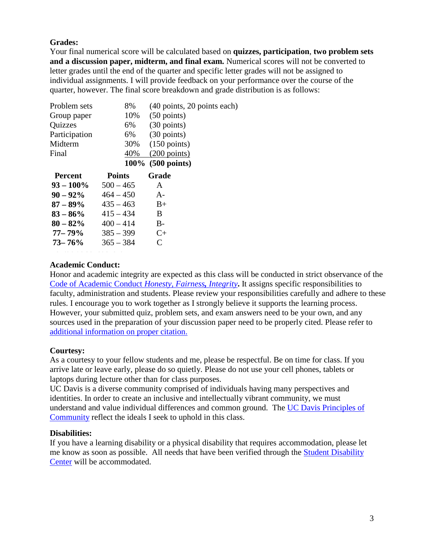# **Grades:**

Your final numerical score will be calculated based on **quizzes, participation**, **two problem sets and a discussion paper, midterm, and final exam.** Numerical scores will not be converted to letter grades until the end of the quarter and specific letter grades will not be assigned to individual assignments. I will provide feedback on your performance over the course of the quarter, however. The final score breakdown and grade distribution is as follows:

| Problem sets   | 8%            | (40 points, 20 points each) |
|----------------|---------------|-----------------------------|
| Group paper    | 10%           | $(50 \text{ points})$       |
| <b>Quizzes</b> | 6%            | $(30 \text{ points})$       |
| Participation  | 6%            | $(30 \text{ points})$       |
| Midterm        | 30%           | $(150 \text{ points})$      |
| Final          | 40%           | $(200 \text{ points})$      |
|                |               | 100% (500 points)           |
| <b>Percent</b> | <b>Points</b> | Grade                       |
| $93 - 100\%$   | $500 - 465$   | A                           |
| $90 - 92\%$    | $464 - 450$   | $A-$                        |
| $87 - 89\%$    | $435 - 463$   | $B+$                        |
| $83 - 86\%$    | $415 - 434$   | B                           |
| $80 - 82\%$    | $400 - 414$   | $B -$                       |
| 77– 79%        | $385 - 399$   | $C+$                        |
| $73 - 76\%$    | $365 - 384$   | C                           |
|                |               |                             |

### **Academic Conduct:**

Honor and academic integrity are expected as this class will be conducted in strict observance of the Code of [Academic Conduct](http://sja.ucdavis.edu/cac.html) *Honesty, Fairness, Integrity***.** It assigns specific responsibilities to faculty, administration and students. Please review your responsibilities carefully and adhere to these rules. I encourage you to work together as I strongly believe it supports the learning process. However, your submitted quiz, problem sets, and exam answers need to be your own, and any sources used in the preparation of your discussion paper need to be properly cited. Please refer to [additional information on proper citation.](http://guides.lib.ucdavis.edu/citations)

# **Courtesy:**

As a courtesy to your fellow students and me, please be respectful. Be on time for class. If you arrive late or leave early, please do so quietly. Please do not use your cell phones, tablets or laptops during lecture other than for class purposes.

UC Davis is a diverse community comprised of individuals having many perspectives and identities. In order to create an inclusive and intellectually vibrant community, we must understand and value individual differences and common ground. The [UC Davis Principles of](http://occr.ucdavis.edu/poc/)  [Community](http://occr.ucdavis.edu/poc/) reflect the ideals I seek to uphold in this class.

#### **Disabilities:**

If you have a learning disability or a physical disability that requires accommodation, please let me know as soon as possible. All needs that have been verified through the [Student Disability](https://sdc.ucdavis.edu/)  [Center](https://sdc.ucdavis.edu/) will be accommodated.